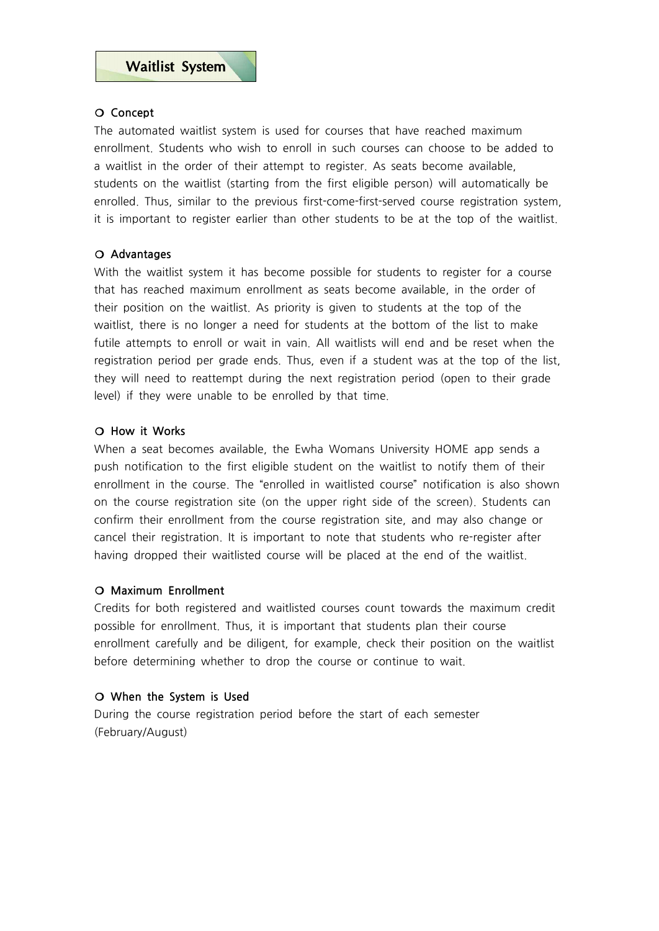### ❍ **Concept**

The automated waitlist system is used for courses that have reached maximum enrollment. Students who wish to enroll in such courses can choose to be added to a waitlist in the order of their attempt to register. As seats become available, students on the waitlist (starting from the first eligible person) will automatically be enrolled. Thus, similar to the previous first-come-first-served course registration system, it is important to register earlier than other students to be at the top of the waitlist.

# ❍ **Advantages**

With the waitlist system it has become possible for students to register for a course that has reached maximum enrollment as seats become available, in the order of their position on the waitlist. As priority is given to students at the top of the waitlist, there is no longer a need for students at the bottom of the list to make futile attempts to enroll or wait in vain. All waitlists will end and be reset when the registration period per grade ends. Thus, even if a student was at the top of the list, they will need to reattempt during the next registration period (open to their grade level) if they were unable to be enrolled by that time.

### ❍ **How it Works**

When a seat becomes available, the Ewha Womans University HOME app sends a push notification to the first eligible student on the waitlist to notify them of their enrollment in the course. The "enrolled in waitlisted course" notification is also shown on the course registration site (on the upper right side of the screen). Students can confirm their enrollment from the course registration site, and may also change or cancel their registration. It is important to note that students who re-register after having dropped their waitlisted course will be placed at the end of the waitlist.

# ❍ **Maximum Enrollment**

Credits for both registered and waitlisted courses count towards the maximum credit possible for enrollment. Thus, it is important that students plan their course enrollment carefully and be diligent, for example, check their position on the waitlist before determining whether to drop the course or continue to wait.

# ❍ **When the System is Used**

During the course registration period before the start of each semester (February/August)